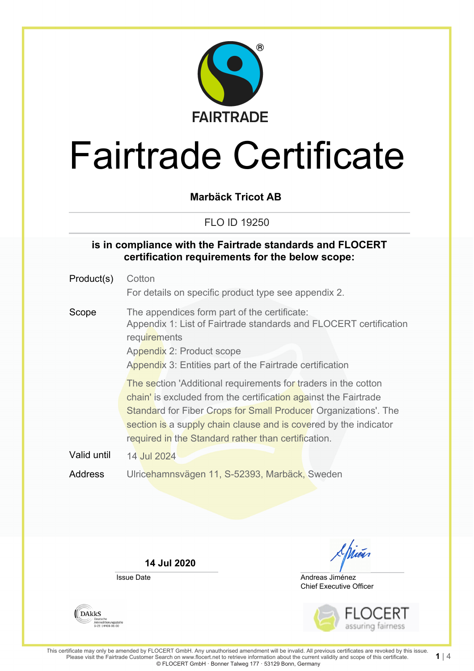

**Marbäck Tricot AB**

FLO ID 19250

#### **is in compliance with the Fairtrade standards and FLOCERT certification requirements for the below scope:**

| Product(s)  | Cotton<br>For details on specific product type see appendix 2.                                                                                                                                                                                                                                                                  |  |  |
|-------------|---------------------------------------------------------------------------------------------------------------------------------------------------------------------------------------------------------------------------------------------------------------------------------------------------------------------------------|--|--|
| Scope       | The appendices form part of the certificate:<br>Appendix 1: List of Fairtrade standards and FLOCERT certification<br>requirements<br>Appendix 2: Product scope<br>Appendix 3: Entities part of the Fairtrade certification                                                                                                      |  |  |
|             | The section 'Additional requirements for traders in the cotton<br>chain' is excluded from the certification against the Fairtrade<br>Standard for Fiber Crops for Small Producer Organizations'. The<br>section is a supply chain clause and is covered by the indicator<br>required in the Standard rather than certification. |  |  |
| Valid until | 14 Jul 2024                                                                                                                                                                                                                                                                                                                     |  |  |
| Address     | Ulricehamnsvägen 11, S-52393, Marbäck, Sweden                                                                                                                                                                                                                                                                                   |  |  |

**14 Jul 2020**

Issue Date



Chief Executive Officer Andreas Jiménez



**1** | 4

**DAKKS** Deutsche<br>Akkreditierungsstelle<br>D-ZE-14408-01-00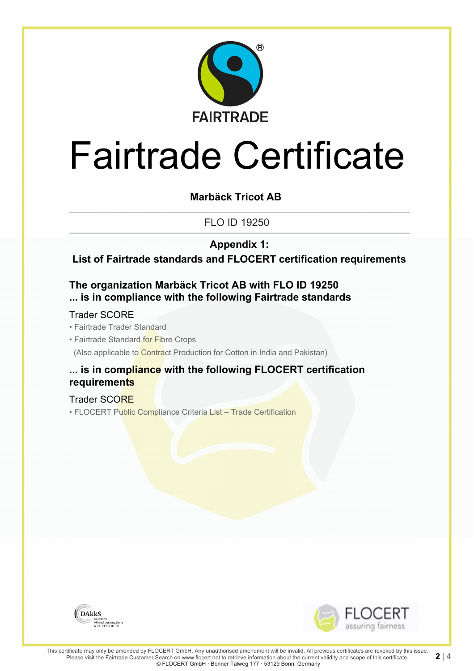

### **Marbäck Tricot AB**

FLO ID 19250

**Appendix 1:**

**List of Fairtrade standards and FLOCERT certification requirements**

#### **The organization Marbäck Tricot AB with FLO ID 19250 ... is in compliance with the following Fairtrade standards**

#### Trader SCORE

- Fairtrade Trader Standard
- Fairtrade Standard for Fibre Crops

(Also applicable to Contract Production for Cotton in India and Pakistan)

#### **... is in compliance with the following FLOCERT certification requirements**

#### Trader SCORE

• FLOCERT Public Compliance Criteria List – Trade Certification



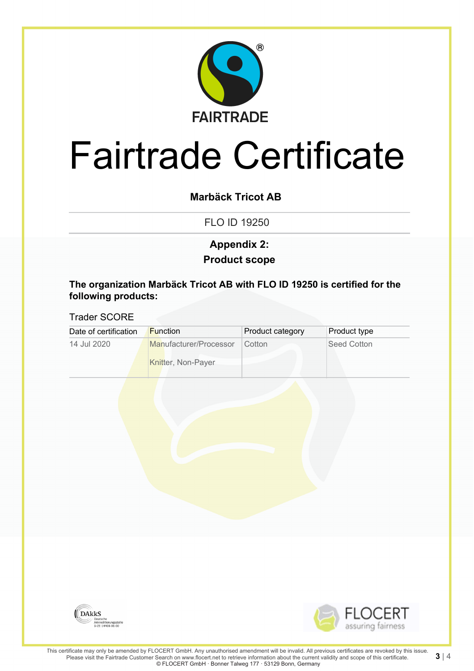

### **Marbäck Tricot AB**

FLO ID 19250

### **Product scope Appendix 2:**

**The organization Marbäck Tricot AB with FLO ID 19250 is certified for the following products:**

#### Trader SCORE

| Date of certification | <b>Function</b>                              | Product category | <b>Product type</b> |
|-----------------------|----------------------------------------------|------------------|---------------------|
| 14 Jul 2020           | Manufacturer/Processor<br>Knitter, Non-Payer | Cotton           | Seed Cotton         |